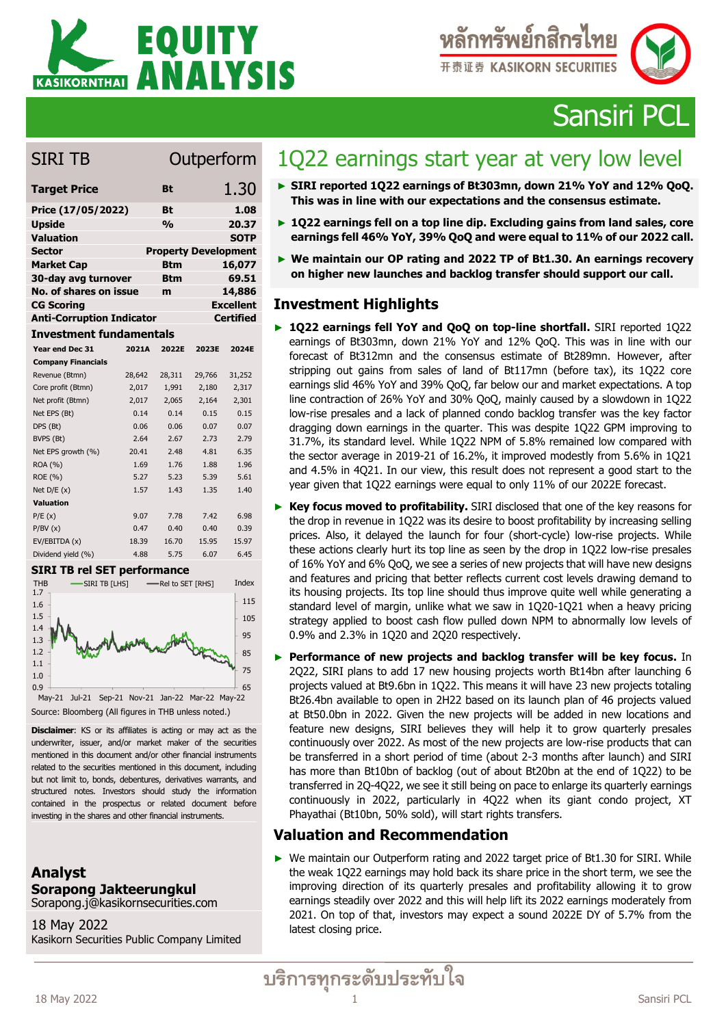



Sansiri PCL

## SIRI TB Outperform

| <b>Target Price</b>              | <b>Bt</b>     | 1.30                        |
|----------------------------------|---------------|-----------------------------|
| Price (17/05/2022)               | Bt            | 1.08                        |
| <b>Upside</b>                    | $\frac{0}{0}$ | 20.37                       |
| <b>Valuation</b>                 |               | <b>SOTP</b>                 |
| <b>Sector</b>                    |               | <b>Property Development</b> |
| <b>Market Cap</b>                | <b>Btm</b>    | 16,077                      |
| 30-day avg turnover              | Btm           | 69.51                       |
| No. of shares on issue           | m             | 14,886                      |
| <b>CG Scoring</b>                |               | <b>Excellent</b>            |
| <b>Anti-Corruption Indicator</b> |               | <b>Certified</b>            |

### **Investment fundamentals**

| Year end Dec 31                                                     | 2021A                              | 2022E             | 2023E  | 2024E  |
|---------------------------------------------------------------------|------------------------------------|-------------------|--------|--------|
| <b>Company Financials</b>                                           |                                    |                   |        |        |
| Revenue (Btmn)                                                      | 28,642                             | 28,311            | 29,766 | 31,252 |
| Core profit (Btmn)                                                  | 2,017                              | 1,991             | 2,180  | 2,317  |
| Net profit (Btmn)                                                   | 2,017                              | 2,065             | 2,164  | 2,301  |
| Net EPS (Bt)                                                        | 0.14                               | 0.14              | 0.15   | 0.15   |
| DPS (Bt)                                                            | 0.06                               | 0.06              | 0.07   | 0.07   |
| BVPS (Bt)                                                           | 2.64                               | 2.67              | 2.73   | 2.79   |
| Net EPS growth (%)                                                  | 20.41                              | 2.48              | 4.81   | 6.35   |
| ROA (%)                                                             | 1.69                               | 1.76              | 1.88   | 1.96   |
| ROE (%)                                                             | 5.27                               | 5.23              | 5.39   | 5.61   |
| Net $D/E(x)$                                                        | 1.57                               | 1.43              | 1.35   | 1.40   |
| <b>Valuation</b>                                                    |                                    |                   |        |        |
| P/E(x)                                                              | 9.07                               | 7.78              | 7.42   | 6.98   |
| P/BV(x)                                                             | 0.47                               | 0.40              | 0.40   | 0.39   |
| EV/EBITDA (x)                                                       | 18.39                              | 16.70             | 15.95  | 15.97  |
| Dividend yield (%)                                                  | 4.88                               | 5.75              | 6.07   | 6.45   |
| <b>SIRI TB rel SET performance</b>                                  |                                    |                   |        |        |
| <b>SIRI TB [LHS]</b><br><b>THB</b><br>1.7                           |                                    | -Rel to SET [RHS] |        | Index  |
| 1.6                                                                 |                                    |                   |        | 115    |
| 1.5                                                                 |                                    |                   |        | 105    |
| 1.4                                                                 |                                    |                   |        | 95     |
| 1.3<br>1.2                                                          |                                    |                   |        |        |
| 1.1                                                                 |                                    |                   |        | 85     |
| 1.0                                                                 |                                    |                   |        | 75     |
| 0.9                                                                 |                                    |                   |        | 65     |
| Jul-21<br>May-21                                                    | Sep-21 Nov-21 Jan-22 Mar-22 May-22 |                   |        |        |
| Source: Bloomberg (All figures in THB unless noted.)                |                                    |                   |        |        |
| <b>Disclaimer:</b> KS or its affiliates is acting or may act as the |                                    |                   |        |        |
| underwriter, issuer, and/or market maker of the securities          |                                    |                   |        |        |
| mentioned in this document and/or other financial instruments       |                                    |                   |        |        |
| related to the securities mentioned in this document, including     |                                    |                   |        |        |
| but not limit to, bonds, debentures, derivatives warrants, and      |                                    |                   |        |        |
| structured notes. Investors should study the information            |                                    |                   |        |        |
| contained in the prospectus or related document before              |                                    |                   |        |        |
| investing in the shares and other financial instruments.            |                                    |                   |        |        |
|                                                                     |                                    |                   |        |        |
|                                                                     |                                    |                   |        |        |
|                                                                     |                                    |                   |        |        |
|                                                                     |                                    |                   |        |        |
| Analyst                                                             |                                    |                   |        |        |
| Sorapong Jakteerungkul                                              |                                    |                   |        |        |
| Sorapong.j@kasikornsecurities.com                                   |                                    |                   |        |        |
|                                                                     |                                    |                   |        |        |
| 18 May 2022                                                         |                                    |                   |        |        |
| Kasikorn Securities Public Company Limited                          |                                    |                   |        |        |

### **SIRI TB rel SET performance**



### **Analyst Sorapong Jakteerungkul** Sorapong.j@kasikornsecurities.com

18 May 2022

# 1Q22 earnings start year at very low level

- ► **SIRI reported 1Q22 earnings of Bt303mn, down 21% YoY and 12% QoQ. This was in line with our expectations and the consensus estimate.**
- ► **1Q22 earnings fell on a top line dip. Excluding gains from land sales, core earnings fell 46% YoY, 39% QoQ and were equal to 11% of our 2022 call.**
- ► **We maintain our OP rating and 2022 TP of Bt1.30. An earnings recovery on higher new launches and backlog transfer should support our call.**

### **Investment Highlights**

- ► **1Q22 earnings fell YoY and QoQ on top-line shortfall.** SIRI reported 1Q22 earnings of Bt303mn, down 21% YoY and 12% QoQ. This was in line with our forecast of Bt312mn and the consensus estimate of Bt289mn. However, after stripping out gains from sales of land of Bt117mn (before tax), its 1Q22 core earnings slid 46% YoY and 39% QoQ, far below our and market expectations. A top line contraction of 26% YoY and 30% QoQ, mainly caused by a slowdown in 1Q22 low-rise presales and a lack of planned condo backlog transfer was the key factor dragging down earnings in the quarter. This was despite 1Q22 GPM improving to 31.7%, its standard level. While 1Q22 NPM of 5.8% remained low compared with the sector average in 2019-21 of 16.2%, it improved modestly from 5.6% in 1Q21 and 4.5% in 4Q21. In our view, this result does not represent a good start to the year given that 1Q22 earnings were equal to only 11% of our 2022E forecast.
- ► **Key focus moved to profitability.** SIRI disclosed that one of the key reasons for the drop in revenue in 1Q22 was its desire to boost profitability by increasing selling prices. Also, it delayed the launch for four (short-cycle) low-rise projects. While these actions clearly hurt its top line as seen by the drop in 1Q22 low-rise presales of 16% YoY and 6% QoQ, we see a series of new projects that will have new designs and features and pricing that better reflects current cost levels drawing demand to its housing projects. Its top line should thus improve quite well while generating a standard level of margin, unlike what we saw in 1Q20-1Q21 when a heavy pricing strategy applied to boost cash flow pulled down NPM to abnormally low levels of 0.9% and 2.3% in 1Q20 and 2Q20 respectively.
- ► **Performance of new projects and backlog transfer will be key focus.** In 2Q22, SIRI plans to add 17 new housing projects worth Bt14bn after launching 6 projects valued at Bt9.6bn in 1Q22. This means it will have 23 new projects totaling Bt26.4bn available to open in 2H22 based on its launch plan of 46 projects valued at Bt50.0bn in 2022. Given the new projects will be added in new locations and feature new designs, SIRI believes they will help it to grow quarterly presales continuously over 2022. As most of the new projects are low-rise products that can be transferred in a short period of time (about 2-3 months after launch) and SIRI has more than Bt10bn of backlog (out of about Bt20bn at the end of 1Q22) to be transferred in 2Q-4Q22, we see it still being on pace to enlarge its quarterly earnings continuously in 2022, particularly in 4Q22 when its giant condo project, XT Phayathai (Bt10bn, 50% sold), will start rights transfers.

### **Valuation and Recommendation**

► We maintain our Outperform rating and 2022 target price of Bt1.30 for SIRI. While the weak 1Q22 earnings may hold back its share price in the short term, we see the improving direction of its quarterly presales and profitability allowing it to grow earnings steadily over 2022 and this will help lift its 2022 earnings moderately from 2021. On top of that, investors may expect a sound 2022E DY of 5.7% from the latest closing price.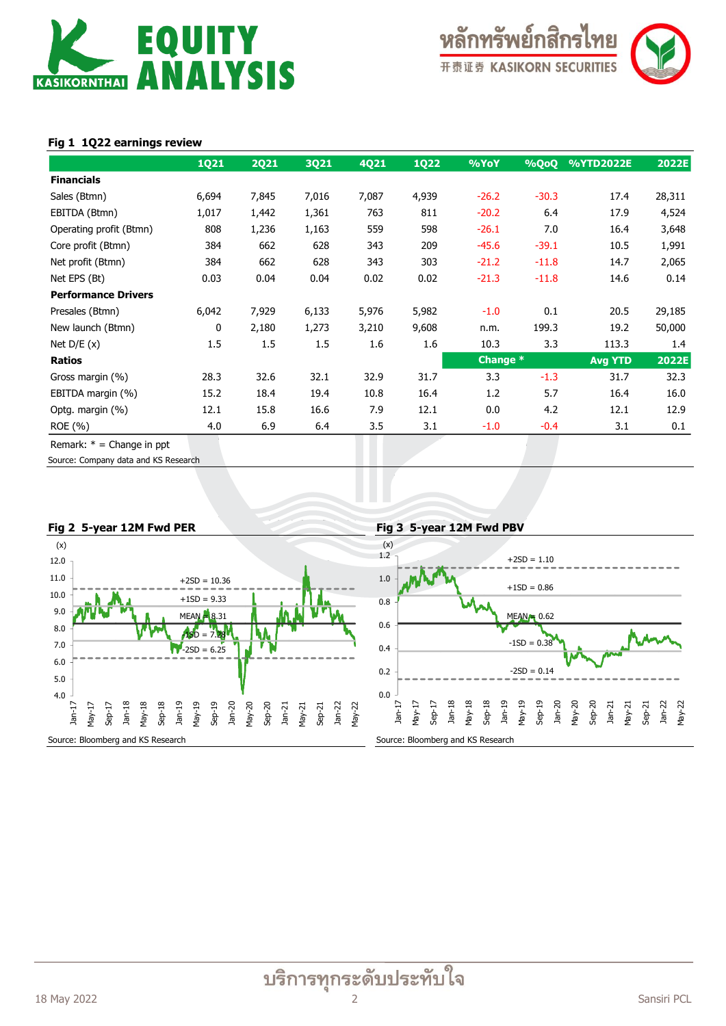



### **Fig 1 1Q22 earnings review**

|                             | <b>1Q21</b> | <b>2Q21</b> | 3Q21  | 4Q21  | <b>1Q22</b> | %YoY     | %QoQ    | %YTD2022E      | 2022E  |
|-----------------------------|-------------|-------------|-------|-------|-------------|----------|---------|----------------|--------|
| <b>Financials</b>           |             |             |       |       |             |          |         |                |        |
| Sales (Btmn)                | 6,694       | 7,845       | 7,016 | 7,087 | 4,939       | $-26.2$  | $-30.3$ | 17.4           | 28,311 |
| EBITDA (Btmn)               | 1,017       | 1,442       | 1,361 | 763   | 811         | $-20.2$  | 6.4     | 17.9           | 4,524  |
| Operating profit (Btmn)     | 808         | 1,236       | 1,163 | 559   | 598         | $-26.1$  | 7.0     | 16.4           | 3,648  |
| Core profit (Btmn)          | 384         | 662         | 628   | 343   | 209         | $-45.6$  | $-39.1$ | 10.5           | 1,991  |
| Net profit (Btmn)           | 384         | 662         | 628   | 343   | 303         | $-21.2$  | $-11.8$ | 14.7           | 2,065  |
| Net EPS (Bt)                | 0.03        | 0.04        | 0.04  | 0.02  | 0.02        | $-21.3$  | $-11.8$ | 14.6           | 0.14   |
| <b>Performance Drivers</b>  |             |             |       |       |             |          |         |                |        |
| Presales (Btmn)             | 6,042       | 7,929       | 6,133 | 5,976 | 5,982       | $-1.0$   | 0.1     | 20.5           | 29,185 |
| New launch (Btmn)           | 0           | 2,180       | 1,273 | 3,210 | 9,608       | n.m.     | 199.3   | 19.2           | 50,000 |
| Net $D/E(x)$                | 1.5         | 1.5         | 1.5   | 1.6   | 1.6         | 10.3     | 3.3     | 113.3          | 1.4    |
| Ratios                      |             |             |       |       |             | Change * |         | <b>Avg YTD</b> | 2022E  |
| Gross margin (%)            | 28.3        | 32.6        | 32.1  | 32.9  | 31.7        | 3.3      | $-1.3$  | 31.7           | 32.3   |
| EBITDA margin (%)           | 15.2        | 18.4        | 19.4  | 10.8  | 16.4        | 1.2      | 5.7     | 16.4           | 16.0   |
| Optg. margin (%)            | 12.1        | 15.8        | 16.6  | 7.9   | 12.1        | 0.0      | 4.2     | 12.1           | 12.9   |
| ROE (%)                     | 4.0         | 6.9         | 6.4   | 3.5   | 3.1         | $-1.0$   | $-0.4$  | 3.1            | 0.1    |
| Remark: $* =$ Change in ppt |             |             |       |       |             |          |         |                |        |

Source: Company data and KS Research

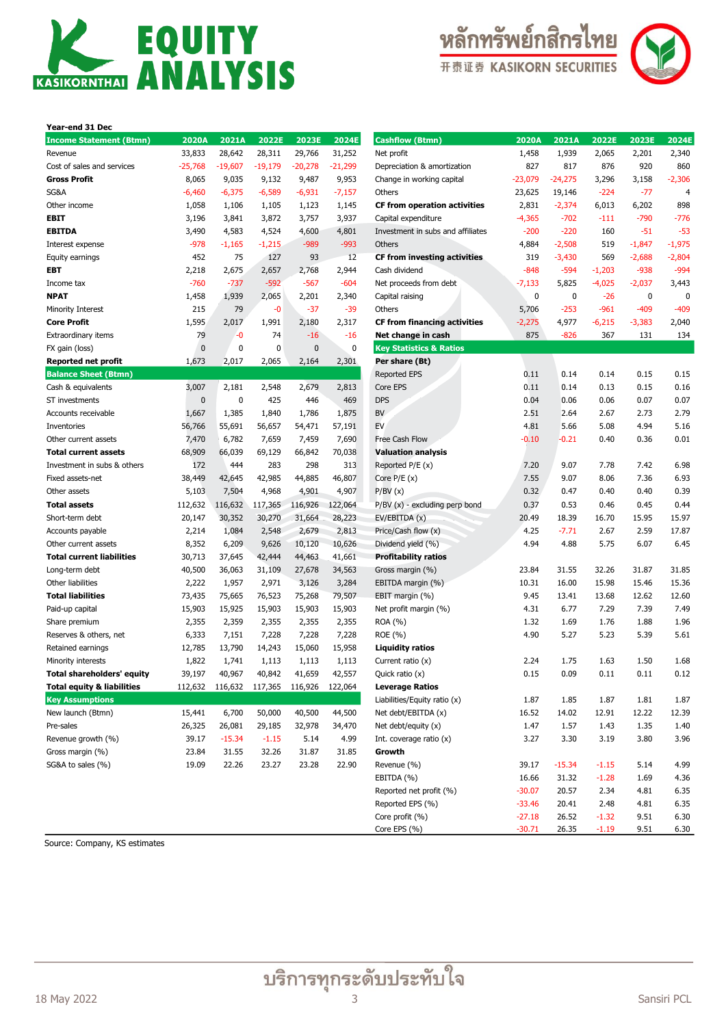





| Year-end 31 Dec                       |           |           |           |           |           |                                    |
|---------------------------------------|-----------|-----------|-----------|-----------|-----------|------------------------------------|
| <b>Income Statement (Btmn)</b>        | 2020A     | 2021A     | 2022E     | 2023E     | 2024E     | <b>Cashflow (Btmn)</b>             |
| Revenue                               | 33,833    | 28,642    | 28,311    | 29,766    | 31,252    | Net profit                         |
| Cost of sales and services            | $-25,768$ | $-19,607$ | $-19,179$ | $-20,278$ | $-21,299$ | Depreciation & amortizatio         |
| <b>Gross Profit</b>                   | 8,065     | 9,035     | 9,132     | 9,487     | 9,953     | Change in working capital          |
| SG&A                                  | -6,460    | $-6,375$  | $-6,589$  | $-6,931$  | $-7,157$  | Others                             |
| Other income                          | 1,058     | 1,106     | 1,105     | 1,123     | 1,145     | <b>CF from operation activ</b>     |
| EBIT                                  | 3,196     | 3,841     | 3,872     | 3,757     | 3,937     | Capital expenditure                |
| EBITDA                                | 3,490     | 4,583     | 4,524     | 4,600     | 4,801     | Investment in subs and af          |
| Interest expense                      | -978      | $-1,165$  | $-1,215$  | $-989$    | $-993$    | Others                             |
| Equity earnings                       | 452       | 75        | 127       | 93        | 12        | <b>CF from investing activ</b>     |
| EBT                                   | 2,218     | 2,675     | 2,657     | 2,768     | 2,944     | Cash dividend                      |
| Income tax                            | $-760$    | $-737$    | $-592$    | $-567$    | $-604$    | Net proceeds from debt             |
| <b>NPAT</b>                           | 1,458     | 1,939     | 2,065     | 2,201     | 2,340     | Capital raising                    |
| Minority Interest                     | 215       | 79        | -0        | $-37$     | $-39$     | Others                             |
| <b>Core Profit</b>                    | 1,595     | 2,017     | 1,991     | 2,180     | 2,317     | <b>CF from financing activ</b>     |
| Extraordinary items                   | 79        | -0        | 74        | $-16$     | $-16$     | Net change in cash                 |
| FX gain (loss)                        | $\bf{0}$  | 0         | 0         | 0         | 0         | <b>Key Statistics &amp; Ratios</b> |
| <b>Reported net profit</b>            | 1,673     | 2,017     | 2,065     | 2,164     | 2,301     | Per share (Bt)                     |
| <b>Balance Sheet (Btmn)</b>           |           |           |           |           |           | <b>Reported EPS</b>                |
| Cash & equivalents                    | 3,007     | 2,181     | 2,548     | 2,679     | 2,813     | Core EPS                           |
| ST investments                        | 0         | 0         | 425       | 446       | 469       | <b>DPS</b>                         |
| Accounts receivable                   | 1,667     | 1,385     | 1,840     | 1,786     | 1,875     | BV                                 |
| Inventories                           | 56,766    | 55,691    | 56,657    | 54,471    | 57,191    | EV                                 |
| Other current assets                  | 7,470     | 6,782     | 7,659     | 7,459     | 7,690     | Free Cash Flow                     |
| <b>Total current assets</b>           | 68,909    | 66,039    | 69,129    | 66,842    | 70,038    | <b>Valuation analysis</b>          |
| Investment in subs & others           | 172       | 444       | 283       | 298       | 313       | Reported P/E (x)                   |
| Fixed assets-net                      | 38,449    | 42,645    | 42,985    | 44,885    | 46,807    | Core $P/E(x)$                      |
| Other assets                          | 5,103     | 7,504     | 4,968     | 4,901     | 4,907     | P/BV(x)                            |
| <b>Total assets</b>                   | 112,632   | 116,632   | 117,365   | 116,926   | 122,064   | $P/BV(x)$ - excluding perp         |
| Short-term debt                       | 20,147    | 30,352    | 30,270    | 31,664    | 28,223    | EV/EBITDA (x)                      |
| Accounts payable                      | 2,214     | 1,084     | 2,548     | 2,679     | 2,813     | Price/Cash flow (x)                |
| Other current assets                  | 8,352     | 6,209     | 9,626     | 10,120    | 10,626    | Dividend yield (%)                 |
| <b>Total current liabilities</b>      | 30,713    | 37,645    | 42,444    | 44,463    | 41,661    | <b>Profitability ratios</b>        |
| Long-term debt                        | 40,500    | 36,063    | 31,109    | 27,678    | 34,563    | Gross margin (%)                   |
| Other liabilities                     | 2,222     | 1,957     | 2,971     | 3,126     | 3,284     | EBITDA margin (%)                  |
| <b>Total liabilities</b>              | 73,435    | 75,665    | 76,523    | 75,268    | 79,507    | EBIT margin (%)                    |
| Paid-up capital                       | 15,903    | 15,925    | 15,903    | 15,903    | 15,903    | Net profit margin (%)              |
| Share premium                         | 2,355     | 2,359     | 2,355     | 2,355     | 2,355     | ROA (%)                            |
| Reserves & others, net                | 6,333     | 7,151     | 7,228     | 7,228     | 7,228     | ROE (%)                            |
| Retained earnings                     | 12,785    | 13,790    | 14,243    | 15,060    | 15,958    | <b>Liquidity ratios</b>            |
| Minority interests                    | 1,822     | 1,741     | 1,113     | 1,113     | 1,113     | Current ratio $(x)$                |
| <b>Total shareholders' equity</b>     | 39,197    | 40,967    | 40,842    | 41,659    | 42,557    | Quick ratio (x)                    |
| <b>Total equity &amp; liabilities</b> | 112,632   | 116,632   | 117,365   | 116,926   | 122,064   | <b>Leverage Ratios</b>             |
| <b>Key Assumptions</b>                |           |           |           |           |           | Liabilities/Equity ratio (x)       |
| New launch (Btmn)                     | 15,441    | 6,700     | 50,000    | 40,500    | 44,500    | Net debt/EBITDA (x)                |
| Pre-sales                             | 26,325    | 26,081    | 29,185    | 32,978    | 34,470    | Net debt/equity (x)                |
| Revenue growth (%)                    | 39.17     | $-15.34$  | $-1.15$   | 5.14      | 4.99      | Int. coverage ratio (x)            |
| Gross margin (%)                      | 23.84     | 31.55     | 32.26     | 31.87     | 31.85     | Growth                             |
| SG&A to sales (%)                     | 19.09     | 22.26     | 23.27     | 23.28     | 22.90     | Revenue (%)<br>FRITDA (%)          |
|                                       |           |           |           |           |           |                                    |

| <b>Income Statement (Btmn)</b>   | 2020A       | 2021A     | 2022E     | 2023E                           | 2024E     | <b>Cashflow (Btmn)</b>              | 2020A     | 2021A     | 2022E    | 2023E    | 2024E          |
|----------------------------------|-------------|-----------|-----------|---------------------------------|-----------|-------------------------------------|-----------|-----------|----------|----------|----------------|
| Revenue                          | 33,833      | 28,642    | 28,311    | 29,766                          | 31,252    | Net profit                          | 1,458     | 1,939     | 2,065    | 2,201    | 2,340          |
| Cost of sales and services       | $-25,768$   | $-19,607$ | $-19,179$ | $-20,278$                       | $-21,299$ | Depreciation & amortization         | 827       | 817       | 876      | 920      | 860            |
| Gross Profit                     | 8,065       | 9,035     | 9,132     | 9,487                           | 9,953     | Change in working capital           | $-23,079$ | $-24,275$ | 3,296    | 3,158    | $-2,306$       |
| SG&A                             | $-6,460$    | $-6,375$  | $-6,589$  | $-6,931$                        | $-7,157$  | Others                              | 23,625    | 19,146    | $-224$   | $-77$    | $\overline{4}$ |
| Other income                     | 1,058       | 1,106     | 1,105     | 1,123                           | 1,145     | <b>CF from operation activities</b> | 2,831     | $-2,374$  | 6,013    | 6,202    | 898            |
| EBIT                             | 3,196       | 3,841     | 3,872     | 3,757                           | 3,937     | Capital expenditure                 | $-4,365$  | $-702$    | $-111$   | $-790$   | $-776$         |
| EBITDA                           | 3,490       | 4,583     | 4,524     | 4,600                           | 4,801     | Investment in subs and affiliates   | $-200$    | $-220$    | 160      | $-51$    | $-53$          |
| Interest expense                 | $-978$      | $-1,165$  | $-1,215$  | $-989$                          | $-993$    | Others                              | 4,884     | $-2,508$  | 519      | $-1,847$ | $-1,975$       |
| Equity earnings                  | 452         | 75        | 127       | 93                              | 12        | <b>CF from investing activities</b> | 319       | $-3,430$  | 569      | $-2,688$ | $-2,804$       |
| EBT                              | 2,218       | 2,675     | 2,657     | 2,768                           | 2,944     | Cash dividend                       | $-848$    | $-594$    | $-1,203$ | -938     | $-994$         |
| Income tax                       | $-760$      | $-737$    | $-592$    | $-567$                          | $-604$    | Net proceeds from debt              | -7,133    | 5,825     | $-4,025$ | $-2,037$ | 3,443          |
| NPAT                             | 1,458       | 1,939     | 2,065     | 2,201                           | 2,340     | Capital raising                     | 0         | 0         | -26      | 0        | 0              |
| Minority Interest                | 215         | 79        | $-0$      | $-37$                           | $-39$     | Others                              | 5,706     | $-253$    | $-961$   | $-409$   | $-409$         |
| Core Profit                      | 1,595       | 2,017     | 1,991     | 2,180                           | 2,317     | <b>CF from financing activities</b> | $-2,275$  | 4,977     | $-6,215$ | $-3,383$ | 2,040          |
| Extraordinary items              | 79          | $-0$      | 74        | $-16$                           | $-16$     | Net change in cash                  | 875       | $-826$    | 367      | 131      | 134            |
| FX gain (loss)                   | $\mathbf 0$ | 0         | 0         | 0                               | 0         | <b>Key Statistics &amp; Ratios</b>  |           |           |          |          |                |
| Reported net profit              | 1,673       | 2,017     | 2,065     | 2,164                           | 2,301     | Per share (Bt)                      |           |           |          |          |                |
| <b>Balance Sheet (Btmn)</b>      |             |           |           |                                 |           | <b>Reported EPS</b>                 | 0.11      | 0.14      | 0.14     | 0.15     | 0.15           |
| Cash & equivalents               | 3,007       | 2,181     | 2,548     | 2,679                           | 2,813     | Core EPS                            | 0.11      | 0.14      | 0.13     | 0.15     | 0.16           |
| ST investments                   | $\bf{0}$    | 0         | 425       | 446                             | 469       | <b>DPS</b>                          | 0.04      | 0.06      | 0.06     | 0.07     | 0.07           |
| Accounts receivable              | 1,667       | 1,385     | 1,840     | 1,786                           | 1,875     | BV                                  | 2.51      | 2.64      | 2.67     | 2.73     | 2.79           |
| Inventories                      | 56,766      | 55,691    | 56,657    | 54,471                          | 57,191    | EV                                  | 4.81      | 5.66      | 5.08     | 4.94     | 5.16           |
| Other current assets             | 7,470       | 6,782     | 7,659     | 7,459                           | 7,690     | Free Cash Flow                      | $-0.10$   | $-0.21$   | 0.40     | 0.36     | 0.01           |
| <b>Total current assets</b>      | 68,909      | 66,039    | 69,129    | 66,842                          | 70,038    | <b>Valuation analysis</b>           |           |           |          |          |                |
| Investment in subs & others      | 172         | 444       | 283       | 298                             | 313       | Reported $P/E(x)$                   | 7.20      | 9.07      | 7.78     | 7.42     | 6.98           |
| Fixed assets-net                 | 38,449      | 42,645    | 42,985    | 44,885                          | 46,807    | Core $P/E(x)$                       | 7.55      | 9.07      | 8.06     | 7.36     | 6.93           |
| Other assets                     | 5,103       | 7,504     | 4,968     | 4,901                           | 4,907     | P/BV(x)                             | 0.32      | 0.47      | 0.40     | 0.40     | 0.39           |
| Total assets                     | 112,632     | 116,632   | 117,365   | 116,926                         | 122,064   | P/BV (x) - excluding perp bond      | 0.37      | 0.53      | 0.46     | 0.45     | 0.44           |
| Short-term debt                  | 20,147      | 30,352    | 30,270    | 31,664                          | 28,223    | EV/EBITDA (x)                       | 20.49     | 18.39     | 16.70    | 15.95    | 15.97          |
| Accounts payable                 | 2,214       | 1,084     | 2,548     | 2,679                           | 2,813     | Price/Cash flow (x)                 | 4.25      | $-7.71$   | 2.67     | 2.59     | 17.87          |
| Other current assets             | 8,352       | 6,209     | 9,626     | 10,120                          | 10,626    | Dividend yield (%)                  | 4.94      | 4.88      | 5.75     | 6.07     | 6.45           |
| <b>Total current liabilities</b> | 30,713      | 37,645    | 42,444    | 44,463                          | 41,661    | <b>Profitability ratios</b>         |           |           |          |          |                |
| Long-term debt                   | 40,500      | 36,063    | 31,109    | 27,678                          | 34,563    | Gross margin (%)                    | 23.84     | 31.55     | 32.26    | 31.87    | 31.85          |
| Other liabilities                | 2,222       | 1,957     | 2,971     | 3,126                           | 3,284     | EBITDA margin (%)                   | 10.31     | 16.00     | 15.98    | 15.46    | 15.36          |
| <b>Total liabilities</b>         | 73,435      | 75,665    | 76,523    | 75,268                          | 79,507    | EBIT margin (%)                     | 9.45      | 13.41     | 13.68    | 12.62    | 12.60          |
| Paid-up capital                  | 15,903      | 15,925    | 15,903    | 15,903                          | 15,903    | Net profit margin (%)               | 4.31      | 6.77      | 7.29     | 7.39     | 7.49           |
| Share premium                    | 2,355       | 2,359     | 2,355     | 2,355                           | 2,355     | ROA (%)                             | 1.32      | 1.69      | 1.76     | 1.88     | 1.96           |
| Reserves & others, net           | 6,333       | 7,151     | 7,228     | 7,228                           | 7,228     | ROE (%)                             | 4.90      | 5.27      | 5.23     | 5.39     | 5.61           |
| Retained earnings                | 12,785      | 13,790    | 14,243    | 15,060                          | 15,958    | <b>Liquidity ratios</b>             |           |           |          |          |                |
| Minority interests               | 1,822       | 1,741     | 1,113     | 1,113                           | 1,113     | Current ratio (x)                   | 2.24      | 1.75      | 1.63     | 1.50     | 1.68           |
| Total shareholders' equity       | 39,197      | 40,967    | 40,842    | 41,659                          | 42,557    | Quick ratio (x)                     | 0.15      | 0.09      | 0.11     | 0.11     | 0.12           |
| Total equity & liabilities       | 112,632     |           |           | 116,632 117,365 116,926 122,064 |           | <b>Leverage Ratios</b>              |           |           |          |          |                |
| <b>Key Assumptions</b>           |             |           |           |                                 |           | Liabilities/Equity ratio (x)        | 1.87      | 1.85      | 1.87     | 1.81     | 1.87           |
| New launch (Btmn)                | 15,441      | 6,700     | 50,000    | 40,500                          | 44,500    | Net debt/EBITDA (x)                 | 16.52     | 14.02     | 12.91    | 12.22    | 12.39          |
| Pre-sales                        | 26,325      | 26,081    | 29,185    | 32,978                          | 34,470    | Net debt/equity (x)                 | 1.47      | 1.57      | 1.43     | 1.35     | 1.40           |
| Revenue growth (%)               | 39.17       | $-15.34$  | $-1.15$   | 5.14                            | 4.99      | Int. coverage ratio (x)             | 3.27      | 3.30      | 3.19     | 3.80     | 3.96           |
| Gross margin (%)                 | 23.84       | 31.55     | 32.26     | 31.87                           | 31.85     | Growth                              |           |           |          |          |                |
| SG&A to sales (%)                | 19.09       | 22.26     | 23.27     | 23.28                           | 22.90     | Revenue (%)                         | 39.17     | $-15.34$  | $-1.15$  | 5.14     | 4.99           |
|                                  |             |           |           |                                 |           | EBITDA (%)                          | 16.66     | 31.32     | $-1.28$  | 1.69     | 4.36           |
|                                  |             |           |           |                                 |           | Reported net profit (%)             | $-30.07$  | 20.57     | 2.34     | 4.81     | 6.35           |
|                                  |             |           |           |                                 |           | Reported EPS (%)                    | $-33.46$  | 20.41     | 2.48     | 4.81     | 6.35           |
|                                  |             |           |           |                                 |           | Core profit (%)                     | $-27.18$  | 26.52     | $-1.32$  | 9.51     | 6.30           |
|                                  |             |           |           |                                 |           | Core EPS (%)                        | $-30.71$  | 26.35     | $-1.19$  | 9.51     | 6.30           |

Source: Company, KS estimates